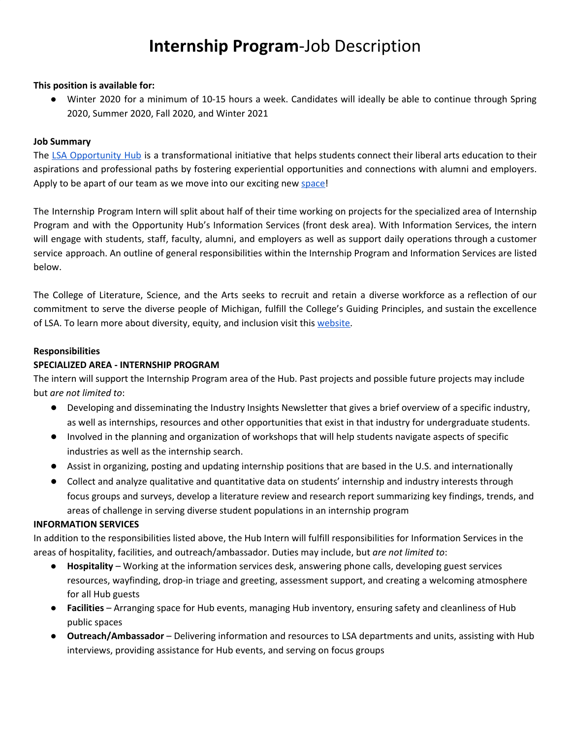# **Internship Program**-Job Description

#### **This position is available for:**

● Winter 2020 for a minimum of 10-15 hours a week. Candidates will ideally be able to continue through Spring 2020, Summer 2020, Fall 2020, and Winter 2021

#### **Job Summary**

The LSA [Opportunity](https://lsa.umich.edu/opportunityhub) Hub is a transformational initiative that helps students connect their liberal arts education to their aspirations and professional paths by fostering experiential opportunities and connections with alumni and employers. Apply to be apart of our team as we move into our exciting new [space!](https://lsa.umich.edu/opportunityhub/about-us/building-designs.html)

The Internship Program Intern will split about half of their time working on projects for the specialized area of Internship Program and with the Opportunity Hub's Information Services (front desk area). With Information Services, the intern will engage with students, staff, faculty, alumni, and employers as well as support daily operations through a customer service approach. An outline of general responsibilities within the Internship Program and Information Services are listed below.

The College of Literature, Science, and the Arts seeks to recruit and retain a diverse workforce as a reflection of our commitment to serve the diverse people of Michigan, fulfill the College's Guiding Principles, and sustain the excellence of LSA. To learn more about diversity, equity, and inclusion visit this [website.](http://lsa.umich.edu/lsa/about/diversity--equity-and-inclusion.html)

#### **Responsibilities**

#### **SPECIALIZED AREA - INTERNSHIP PROGRAM**

The intern will support the Internship Program area of the Hub. Past projects and possible future projects may include but *are not limited to*:

- Developing and disseminating the Industry Insights Newsletter that gives a brief overview of a specific industry, as well as internships, resources and other opportunities that exist in that industry for undergraduate students.
- Involved in the planning and organization of workshops that will help students navigate aspects of specific industries as well as the internship search.
- Assist in organizing, posting and updating internship positions that are based in the U.S. and internationally
- Collect and analyze qualitative and quantitative data on students' internship and industry interests through focus groups and surveys, develop a literature review and research report summarizing key findings, trends, and areas of challenge in serving diverse student populations in an internship program

#### **INFORMATION SERVICES**

In addition to the responsibilities listed above, the Hub Intern will fulfill responsibilities for Information Services in the areas of hospitality, facilities, and outreach/ambassador. Duties may include, but *are not limited to*:

- **Hospitality** Working at the information services desk, answering phone calls, developing guest services resources, wayfinding, drop-in triage and greeting, assessment support, and creating a welcoming atmosphere for all Hub guests
- **Facilities** Arranging space for Hub events, managing Hub inventory, ensuring safety and cleanliness of Hub public spaces
- **Outreach/Ambassador** Delivering information and resources to LSA departments and units, assisting with Hub interviews, providing assistance for Hub events, and serving on focus groups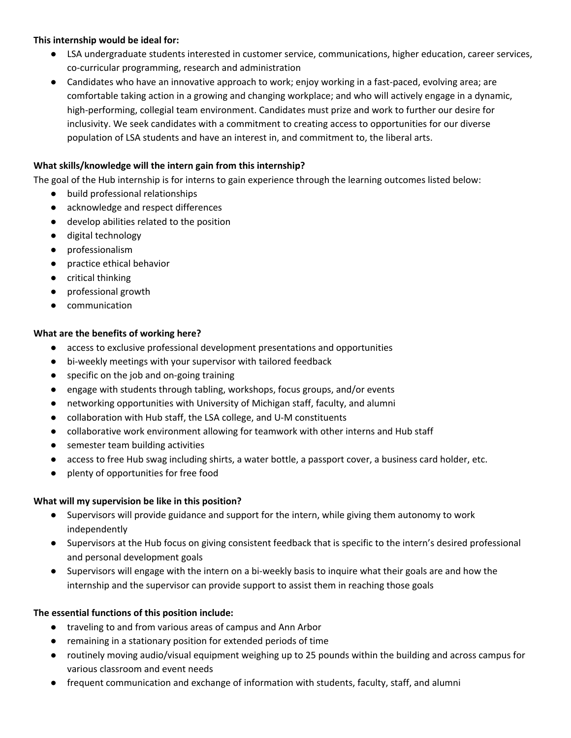#### **This internship would be ideal for:**

- LSA undergraduate students interested in customer service, communications, higher education, career services, co-curricular programming, research and administration
- Candidates who have an innovative approach to work; enjoy working in a fast-paced, evolving area; are comfortable taking action in a growing and changing workplace; and who will actively engage in a dynamic, high-performing, collegial team environment. Candidates must prize and work to further our desire for inclusivity. We seek candidates with a commitment to creating access to opportunities for our diverse population of LSA students and have an interest in, and commitment to, the liberal arts.

# **What skills/knowledge will the intern gain from this internship?**

The goal of the Hub internship is for interns to gain experience through the learning outcomes listed below:

- build professional relationships
- acknowledge and respect differences
- develop abilities related to the position
- digital technology
- professionalism
- practice ethical behavior
- critical thinking
- professional growth
- communication

#### **What are the benefits of working here?**

- access to exclusive professional development presentations and opportunities
- bi-weekly meetings with your supervisor with tailored feedback
- specific on the job and on-going training
- engage with students through tabling, workshops, focus groups, and/or events
- networking opportunities with University of Michigan staff, faculty, and alumni
- collaboration with Hub staff, the LSA college, and U-M constituents
- collaborative work environment allowing for teamwork with other interns and Hub staff
- semester team building activities
- access to free Hub swag including shirts, a water bottle, a passport cover, a business card holder, etc.
- plenty of opportunities for free food

#### **What will my supervision be like in this position?**

- Supervisors will provide guidance and support for the intern, while giving them autonomy to work independently
- Supervisors at the Hub focus on giving consistent feedback that is specific to the intern's desired professional and personal development goals
- Supervisors will engage with the intern on a bi-weekly basis to inquire what their goals are and how the internship and the supervisor can provide support to assist them in reaching those goals

#### **The essential functions of this position include:**

- traveling to and from various areas of campus and Ann Arbor
- remaining in a stationary position for extended periods of time
- routinely moving audio/visual equipment weighing up to 25 pounds within the building and across campus for various classroom and event needs
- frequent communication and exchange of information with students, faculty, staff, and alumni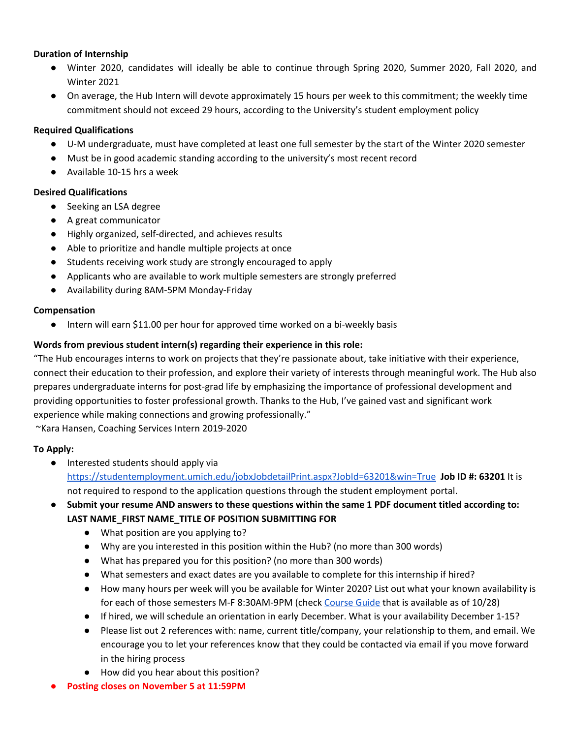#### **Duration of Internship**

- Winter 2020, candidates will ideally be able to continue through Spring 2020, Summer 2020, Fall 2020, and Winter 2021
- On average, the Hub Intern will devote approximately 15 hours per week to this commitment; the weekly time commitment should not exceed 29 hours, according to the University's student employment policy

#### **Required Qualifications**

- U-M undergraduate, must have completed at least one full semester by the start of the Winter 2020 semester
- Must be in good academic standing according to the university's most recent record
- Available 10-15 hrs a week

#### **Desired Qualifications**

- Seeking an LSA degree
- A great communicator
- Highly organized, self-directed, and achieves results
- Able to prioritize and handle multiple projects at once
- Students receiving work study are strongly encouraged to apply
- Applicants who are available to work multiple semesters are strongly preferred
- Availability during 8AM-5PM Monday-Friday

#### **Compensation**

● Intern will earn \$11.00 per hour for approved time worked on a bi-weekly basis

# **Words from previous student intern(s) regarding their experience in this role:**

"The Hub encourages interns to work on projects that they're passionate about, take initiative with their experience, connect their education to their profession, and explore their variety of interests through meaningful work. The Hub also prepares undergraduate interns for post-grad life by emphasizing the importance of professional development and providing opportunities to foster professional growth. Thanks to the Hub, I've gained vast and significant work experience while making connections and growing professionally."

~Kara Hansen, Coaching Services Intern 2019-2020

# **To Apply:**

● Interested students should apply via <https://studentemployment.umich.edu/jobxJobdetailPrint.aspx?JobId=63201&win=True> **Job ID #: 63201** It is not required to respond to the application questions through the student employment portal.

# ● **Submit your resume AND answers to these questions within the same 1 PDF document titled according to: LAST NAME\_FIRST NAME\_TITLE OF POSITION SUBMITTING FOR**

- What position are you applying to?
- Why are you interested in this position within the Hub? (no more than 300 words)
- What has prepared you for this position? (no more than 300 words)
- What semesters and exact dates are you available to complete for this internship if hired?
- How many hours per week will you be available for Winter 2020? List out what your known availability is for each of those semesters M-F 8:30AM-9PM (check [Course](https://www.lsa.umich.edu/cg/default.aspx) Guide that is available as of 10/28)
- If hired, we will schedule an orientation in early December. What is your availability December 1-15?
- Please list out 2 references with: name, current title/company, your relationship to them, and email. We encourage you to let your references know that they could be contacted via email if you move forward in the hiring process
- How did you hear about this position?
- **● Posting closes on November 5 at 11:59PM**